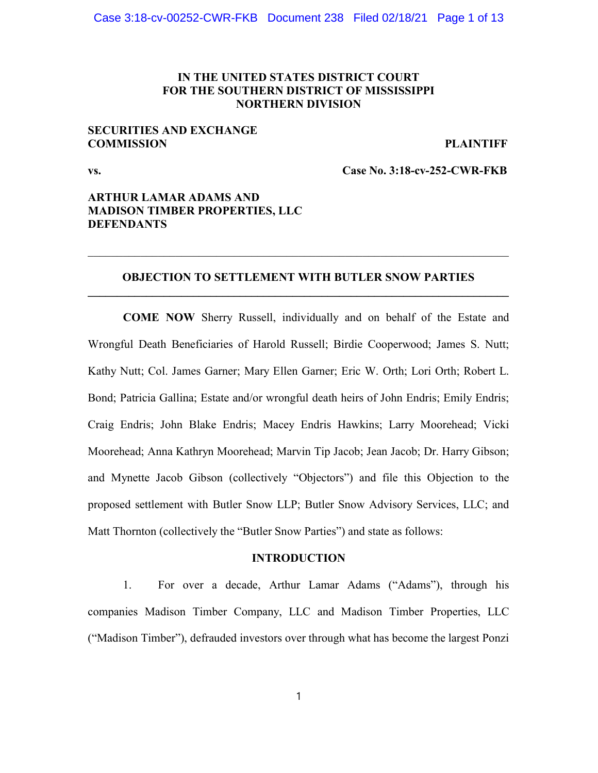## IN THE UNITED STATES DISTRICT COURT FOR THE SOUTHERN DISTRICT OF MISSISSIPPI NORTHERN DIVISION

## SECURITIES AND EXCHANGE COMMISSION PLAINTIFF

vs. Case No. 3:18-cv-252-CWR-FKB

# ARTHUR LAMAR ADAMS AND MADISON TIMBER PROPERTIES, LLC DEFENDANTS

# OBJECTION TO SETTLEMENT WITH BUTLER SNOW PARTIES  $\mathcal{L}_\text{max}$  and  $\mathcal{L}_\text{max}$  and  $\mathcal{L}_\text{max}$  and  $\mathcal{L}_\text{max}$  and  $\mathcal{L}_\text{max}$  and  $\mathcal{L}_\text{max}$

COME NOW Sherry Russell, individually and on behalf of the Estate and Wrongful Death Beneficiaries of Harold Russell; Birdie Cooperwood; James S. Nutt; Kathy Nutt; Col. James Garner; Mary Ellen Garner; Eric W. Orth; Lori Orth; Robert L. Bond; Patricia Gallina; Estate and/or wrongful death heirs of John Endris; Emily Endris; Craig Endris; John Blake Endris; Macey Endris Hawkins; Larry Moorehead; Vicki Moorehead; Anna Kathryn Moorehead; Marvin Tip Jacob; Jean Jacob; Dr. Harry Gibson; and Mynette Jacob Gibson (collectively "Objectors") and file this Objection to the proposed settlement with Butler Snow LLP; Butler Snow Advisory Services, LLC; and Matt Thornton (collectively the "Butler Snow Parties") and state as follows:

### INTRODUCTION

1. For over a decade, Arthur Lamar Adams ("Adams"), through his companies Madison Timber Company, LLC and Madison Timber Properties, LLC ("Madison Timber"), defrauded investors over through what has become the largest Ponzi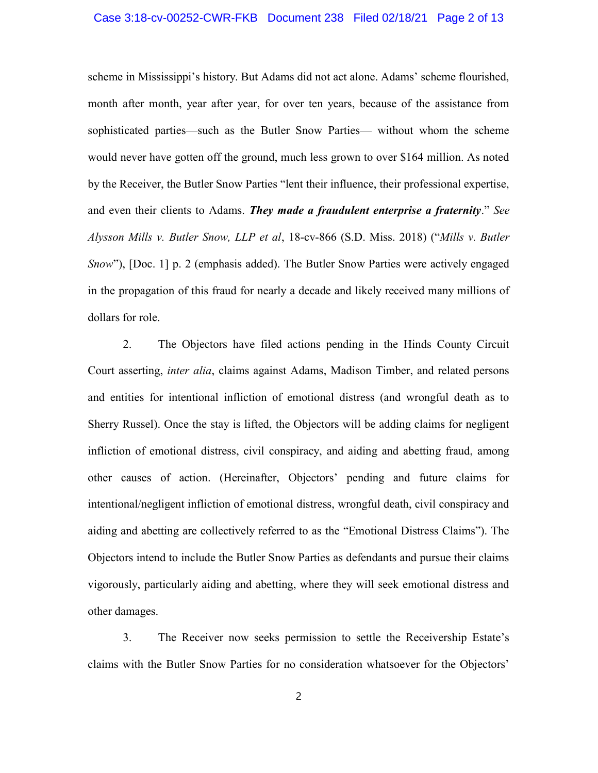## Case 3:18-cv-00252-CWR-FKB Document 238 Filed 02/18/21 Page 2 of 13

scheme in Mississippi's history. But Adams did not act alone. Adams' scheme flourished, month after month, year after year, for over ten years, because of the assistance from sophisticated parties—such as the Butler Snow Parties— without whom the scheme would never have gotten off the ground, much less grown to over \$164 million. As noted by the Receiver, the Butler Snow Parties "lent their influence, their professional expertise, and even their clients to Adams. They made a fraudulent enterprise a fraternity." See Alysson Mills v. Butler Snow, LLP et al, 18-cv-866 (S.D. Miss. 2018) ("Mills v. Butler Snow"), [Doc. 1] p. 2 (emphasis added). The Butler Snow Parties were actively engaged in the propagation of this fraud for nearly a decade and likely received many millions of dollars for role.

2. The Objectors have filed actions pending in the Hinds County Circuit Court asserting, inter alia, claims against Adams, Madison Timber, and related persons and entities for intentional infliction of emotional distress (and wrongful death as to Sherry Russel). Once the stay is lifted, the Objectors will be adding claims for negligent infliction of emotional distress, civil conspiracy, and aiding and abetting fraud, among other causes of action. (Hereinafter, Objectors' pending and future claims for intentional/negligent infliction of emotional distress, wrongful death, civil conspiracy and aiding and abetting are collectively referred to as the "Emotional Distress Claims"). The Objectors intend to include the Butler Snow Parties as defendants and pursue their claims vigorously, particularly aiding and abetting, where they will seek emotional distress and other damages.

3. The Receiver now seeks permission to settle the Receivership Estate's claims with the Butler Snow Parties for no consideration whatsoever for the Objectors'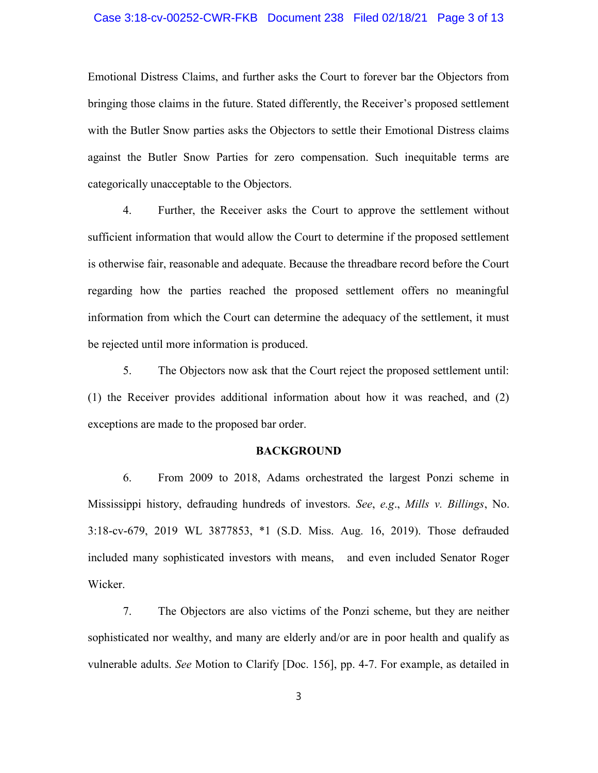## Case 3:18-cv-00252-CWR-FKB Document 238 Filed 02/18/21 Page 3 of 13

Emotional Distress Claims, and further asks the Court to forever bar the Objectors from bringing those claims in the future. Stated differently, the Receiver's proposed settlement with the Butler Snow parties asks the Objectors to settle their Emotional Distress claims against the Butler Snow Parties for zero compensation. Such inequitable terms are categorically unacceptable to the Objectors.

4. Further, the Receiver asks the Court to approve the settlement without sufficient information that would allow the Court to determine if the proposed settlement is otherwise fair, reasonable and adequate. Because the threadbare record before the Court regarding how the parties reached the proposed settlement offers no meaningful information from which the Court can determine the adequacy of the settlement, it must be rejected until more information is produced.

5. The Objectors now ask that the Court reject the proposed settlement until: (1) the Receiver provides additional information about how it was reached, and (2) exceptions are made to the proposed bar order.

### **BACKGROUND**

6. From 2009 to 2018, Adams orchestrated the largest Ponzi scheme in Mississippi history, defrauding hundreds of investors. See, e.g., Mills v. Billings, No. 3:18-cv-679, 2019 WL 3877853, \*1 (S.D. Miss. Aug. 16, 2019). Those defrauded included many sophisticated investors with means, and even included Senator Roger Wicker.

7. The Objectors are also victims of the Ponzi scheme, but they are neither sophisticated nor wealthy, and many are elderly and/or are in poor health and qualify as vulnerable adults. See Motion to Clarify [Doc. 156], pp. 4-7. For example, as detailed in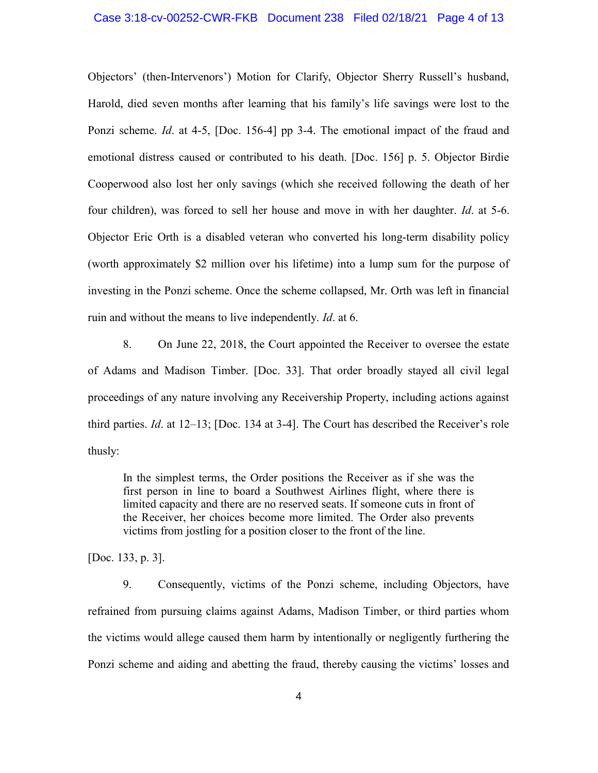Objectors' (then-Intervenors') Motion for Clarify, Objector Sherry Russell's husband, Harold, died seven months after learning that his family's life savings were lost to the Ponzi scheme. *Id.* at 4-5, [Doc. 156-4] pp 3-4. The emotional impact of the fraud and emotional distress caused or contributed to his death. [Doc. 156] p. 5. Objector Birdie Cooperwood also lost her only savings (which she received following the death of her four children), was forced to sell her house and move in with her daughter. Id. at 5-6. Objector Eric Orth is a disabled veteran who converted his long-term disability policy (worth approximately \$2 million over his lifetime) into a lump sum for the purpose of investing in the Ponzi scheme. Once the scheme collapsed, Mr. Orth was left in financial ruin and without the means to live independently. *Id.* at 6.

8. On June 22, 2018, the Court appointed the Receiver to oversee the estate of Adams and Madison Timber. [Doc. 33]. That order broadly stayed all civil legal proceedings of any nature involving any Receivership Property, including actions against third parties. Id. at 12–13; [Doc. 134 at 3-4]. The Court has described the Receiver's role thusly:

In the simplest terms, the Order positions the Receiver as if she was the first person in line to board a Southwest Airlines flight, where there is limited capacity and there are no reserved seats. If someone cuts in front of the Receiver, her choices become more limited. The Order also prevents victims from jostling for a position closer to the front of the line.

[Doc. 133, p. 3].

9. Consequently, victims of the Ponzi scheme, including Objectors, have refrained from pursuing claims against Adams, Madison Timber, or third parties whom the victims would allege caused them harm by intentionally or negligently furthering the Ponzi scheme and aiding and abetting the fraud, thereby causing the victims' losses and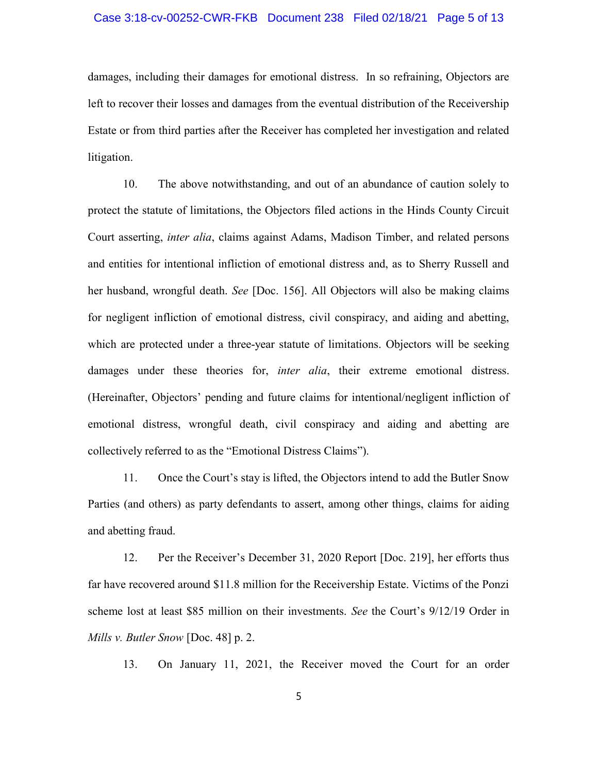## Case 3:18-cv-00252-CWR-FKB Document 238 Filed 02/18/21 Page 5 of 13

damages, including their damages for emotional distress. In so refraining, Objectors are left to recover their losses and damages from the eventual distribution of the Receivership Estate or from third parties after the Receiver has completed her investigation and related litigation.

10. The above notwithstanding, and out of an abundance of caution solely to protect the statute of limitations, the Objectors filed actions in the Hinds County Circuit Court asserting, *inter alia*, claims against Adams, Madison Timber, and related persons and entities for intentional infliction of emotional distress and, as to Sherry Russell and her husband, wrongful death. See [Doc. 156]. All Objectors will also be making claims for negligent infliction of emotional distress, civil conspiracy, and aiding and abetting, which are protected under a three-year statute of limitations. Objectors will be seeking damages under these theories for, *inter alia*, their extreme emotional distress. (Hereinafter, Objectors' pending and future claims for intentional/negligent infliction of emotional distress, wrongful death, civil conspiracy and aiding and abetting are collectively referred to as the "Emotional Distress Claims").

11. Once the Court's stay is lifted, the Objectors intend to add the Butler Snow Parties (and others) as party defendants to assert, among other things, claims for aiding and abetting fraud.

12. Per the Receiver's December 31, 2020 Report [Doc. 219], her efforts thus far have recovered around \$11.8 million for the Receivership Estate. Victims of the Ponzi scheme lost at least \$85 million on their investments. See the Court's 9/12/19 Order in Mills v. Butler Snow [Doc. 48]  $p. 2$ .

13. On January 11, 2021, the Receiver moved the Court for an order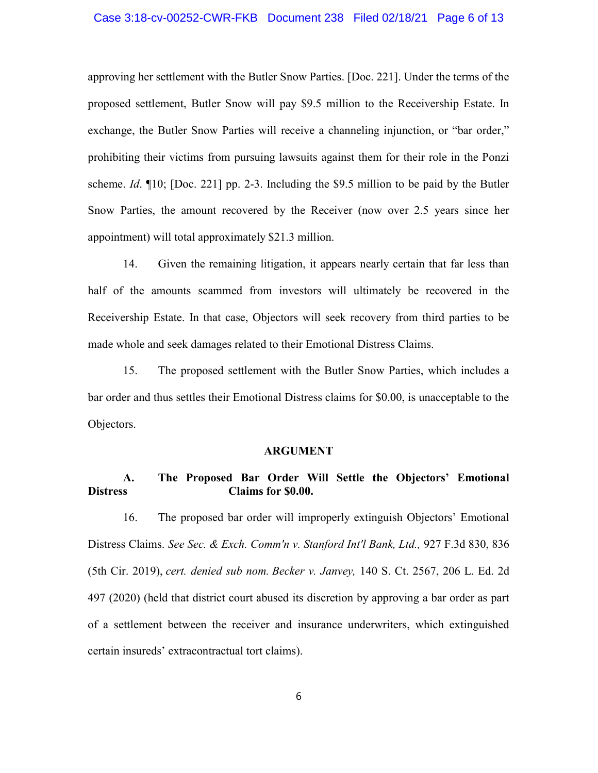## Case 3:18-cv-00252-CWR-FKB Document 238 Filed 02/18/21 Page 6 of 13

approving her settlement with the Butler Snow Parties. [Doc. 221]. Under the terms of the proposed settlement, Butler Snow will pay \$9.5 million to the Receivership Estate. In exchange, the Butler Snow Parties will receive a channeling injunction, or "bar order," prohibiting their victims from pursuing lawsuits against them for their role in the Ponzi scheme. *Id.*  $\P{10}$ ; [Doc. 221] pp. 2-3. Including the \$9.5 million to be paid by the Butler Snow Parties, the amount recovered by the Receiver (now over 2.5 years since her appointment) will total approximately \$21.3 million.

14. Given the remaining litigation, it appears nearly certain that far less than half of the amounts scammed from investors will ultimately be recovered in the Receivership Estate. In that case, Objectors will seek recovery from third parties to be made whole and seek damages related to their Emotional Distress Claims.

15. The proposed settlement with the Butler Snow Parties, which includes a bar order and thus settles their Emotional Distress claims for \$0.00, is unacceptable to the Objectors.

#### ARGUMENT

# A. The Proposed Bar Order Will Settle the Objectors' Emotional Distress Claims for \$0.00.

16. The proposed bar order will improperly extinguish Objectors' Emotional Distress Claims. See Sec. & Exch. Comm'n v. Stanford Int'l Bank, Ltd., 927 F.3d 830, 836 (5th Cir. 2019), cert. denied sub nom. Becker v. Janvey, 140 S. Ct. 2567, 206 L. Ed. 2d 497 (2020) (held that district court abused its discretion by approving a bar order as part of a settlement between the receiver and insurance underwriters, which extinguished certain insureds' extracontractual tort claims).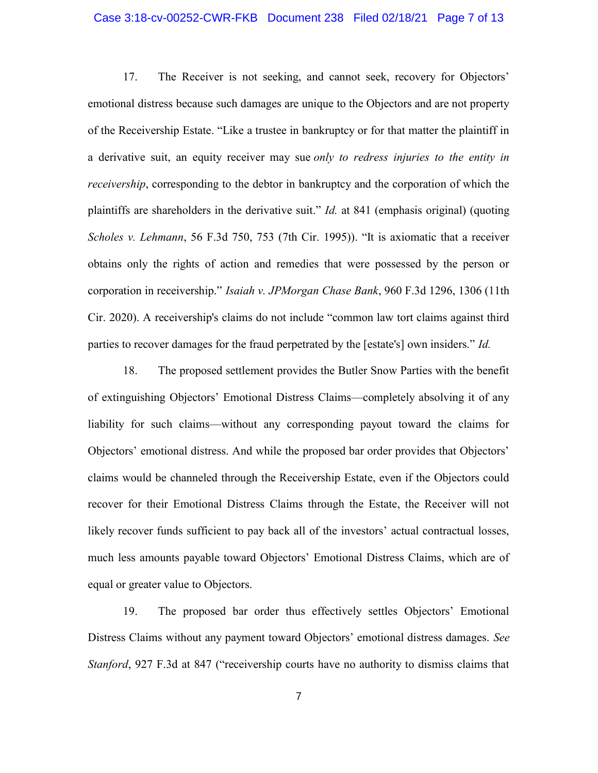## Case 3:18-cv-00252-CWR-FKB Document 238 Filed 02/18/21 Page 7 of 13

17. The Receiver is not seeking, and cannot seek, recovery for Objectors' emotional distress because such damages are unique to the Objectors and are not property of the Receivership Estate. "Like a trustee in bankruptcy or for that matter the plaintiff in a derivative suit, an equity receiver may sue only to redress injuries to the entity in receivership, corresponding to the debtor in bankruptcy and the corporation of which the plaintiffs are shareholders in the derivative suit." *Id.* at 841 (emphasis original) (quoting Scholes v. Lehmann, 56 F.3d 750, 753 (7th Cir. 1995)). "It is axiomatic that a receiver obtains only the rights of action and remedies that were possessed by the person or corporation in receivership." Isaiah v. JPMorgan Chase Bank, 960 F.3d 1296, 1306 (11th Cir. 2020). A receivership's claims do not include "common law tort claims against third parties to recover damages for the fraud perpetrated by the [estate's] own insiders." *Id.* 

18. The proposed settlement provides the Butler Snow Parties with the benefit of extinguishing Objectors' Emotional Distress Claims—completely absolving it of any liability for such claims—without any corresponding payout toward the claims for Objectors' emotional distress. And while the proposed bar order provides that Objectors' claims would be channeled through the Receivership Estate, even if the Objectors could recover for their Emotional Distress Claims through the Estate, the Receiver will not likely recover funds sufficient to pay back all of the investors' actual contractual losses, much less amounts payable toward Objectors' Emotional Distress Claims, which are of equal or greater value to Objectors.

19. The proposed bar order thus effectively settles Objectors' Emotional Distress Claims without any payment toward Objectors' emotional distress damages. See Stanford, 927 F.3d at 847 ("receivership courts have no authority to dismiss claims that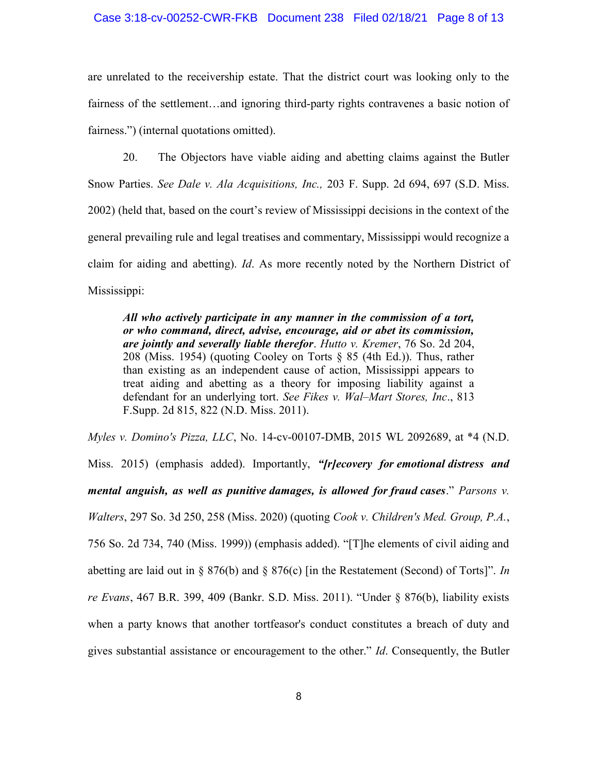## Case 3:18-cv-00252-CWR-FKB Document 238 Filed 02/18/21 Page 8 of 13

are unrelated to the receivership estate. That the district court was looking only to the fairness of the settlement…and ignoring third-party rights contravenes a basic notion of fairness.") (internal quotations omitted).

20. The Objectors have viable aiding and abetting claims against the Butler Snow Parties. See Dale v. Ala Acquisitions, Inc., 203 F. Supp. 2d 694, 697 (S.D. Miss. 2002) (held that, based on the court's review of Mississippi decisions in the context of the general prevailing rule and legal treatises and commentary, Mississippi would recognize a claim for aiding and abetting). Id. As more recently noted by the Northern District of Mississippi:

All who actively participate in any manner in the commission of a tort, or who command, direct, advise, encourage, aid or abet its commission, are jointly and severally liable therefor. Hutto v. Kremer, 76 So. 2d 204, 208 (Miss. 1954) (quoting Cooley on Torts  $\S$  85 (4th Ed.)). Thus, rather than existing as an independent cause of action, Mississippi appears to treat aiding and abetting as a theory for imposing liability against a defendant for an underlying tort. See Fikes v. Wal-Mart Stores, Inc., 813 F.Supp. 2d 815, 822 (N.D. Miss. 2011).

Myles v. Domino's Pizza, LLC, No. 14-cv-00107-DMB, 2015 WL 2092689, at \*4 (N.D. Miss. 2015) (emphasis added). Importantly, "*[r]ecovery for emotional distress and* mental anguish, as well as punitive damages, is allowed for fraud cases." Parsons v. Walters, 297 So. 3d 250, 258 (Miss. 2020) (quoting Cook v. Children's Med. Group, P.A., 756 So. 2d 734, 740 (Miss. 1999)) (emphasis added). "[T]he elements of civil aiding and abetting are laid out in § 876(b) and § 876(c) [in the Restatement (Second) of Torts]". In re Evans, 467 B.R. 399, 409 (Bankr. S.D. Miss. 2011). "Under  $\S$  876(b), liability exists when a party knows that another tortfeasor's conduct constitutes a breach of duty and gives substantial assistance or encouragement to the other."  $Id$ . Consequently, the Butler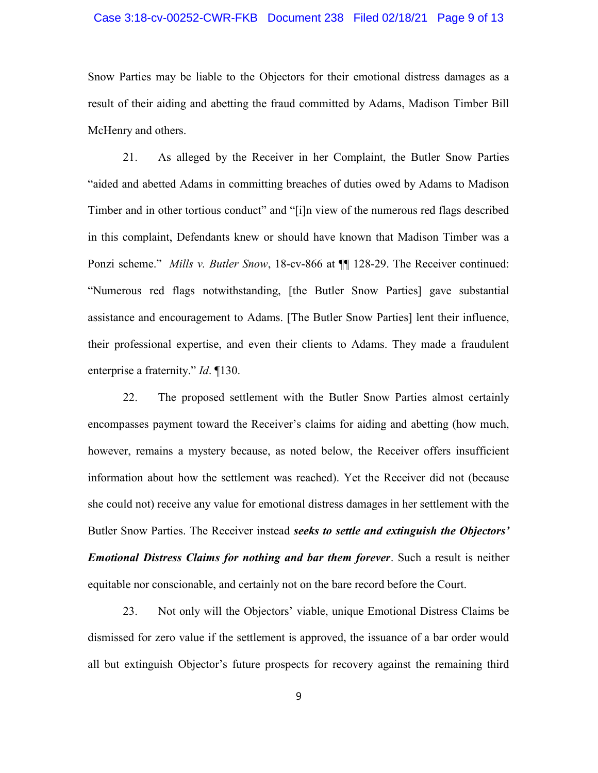## Case 3:18-cv-00252-CWR-FKB Document 238 Filed 02/18/21 Page 9 of 13

Snow Parties may be liable to the Objectors for their emotional distress damages as a result of their aiding and abetting the fraud committed by Adams, Madison Timber Bill McHenry and others.

21. As alleged by the Receiver in her Complaint, the Butler Snow Parties "aided and abetted Adams in committing breaches of duties owed by Adams to Madison Timber and in other tortious conduct" and "[i]n view of the numerous red flags described in this complaint, Defendants knew or should have known that Madison Timber was a Ponzi scheme." Mills v. Butler Snow, 18-cv-866 at  $\P$  128-29. The Receiver continued: "Numerous red flags notwithstanding, [the Butler Snow Parties] gave substantial assistance and encouragement to Adams. [The Butler Snow Parties] lent their influence, their professional expertise, and even their clients to Adams. They made a fraudulent enterprise a fraternity." *Id.* ¶130.

22. The proposed settlement with the Butler Snow Parties almost certainly encompasses payment toward the Receiver's claims for aiding and abetting (how much, however, remains a mystery because, as noted below, the Receiver offers insufficient information about how the settlement was reached). Yet the Receiver did not (because she could not) receive any value for emotional distress damages in her settlement with the Butler Snow Parties. The Receiver instead seeks to settle and extinguish the Objectors' **Emotional Distress Claims for nothing and bar them forever.** Such a result is neither equitable nor conscionable, and certainly not on the bare record before the Court.

23. Not only will the Objectors' viable, unique Emotional Distress Claims be dismissed for zero value if the settlement is approved, the issuance of a bar order would all but extinguish Objector's future prospects for recovery against the remaining third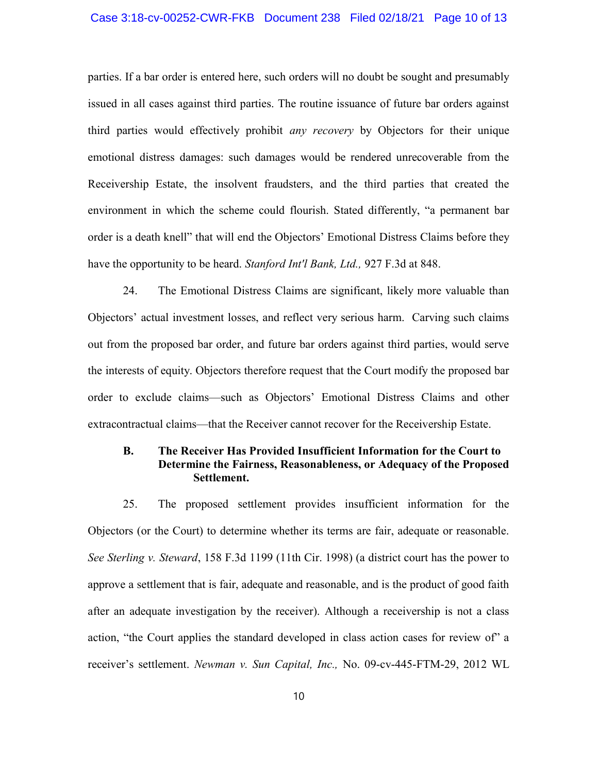## Case 3:18-cv-00252-CWR-FKB Document 238 Filed 02/18/21 Page 10 of 13

parties. If a bar order is entered here, such orders will no doubt be sought and presumably issued in all cases against third parties. The routine issuance of future bar orders against third parties would effectively prohibit *any recovery* by Objectors for their unique emotional distress damages: such damages would be rendered unrecoverable from the Receivership Estate, the insolvent fraudsters, and the third parties that created the environment in which the scheme could flourish. Stated differently, "a permanent bar order is a death knell" that will end the Objectors' Emotional Distress Claims before they have the opportunity to be heard. Stanford Int'l Bank, Ltd., 927 F.3d at 848.

24. The Emotional Distress Claims are significant, likely more valuable than Objectors' actual investment losses, and reflect very serious harm. Carving such claims out from the proposed bar order, and future bar orders against third parties, would serve the interests of equity. Objectors therefore request that the Court modify the proposed bar order to exclude claims—such as Objectors' Emotional Distress Claims and other extracontractual claims—that the Receiver cannot recover for the Receivership Estate.

# B. The Receiver Has Provided Insufficient Information for the Court to Determine the Fairness, Reasonableness, or Adequacy of the Proposed Settlement.

25. The proposed settlement provides insufficient information for the Objectors (or the Court) to determine whether its terms are fair, adequate or reasonable. See Sterling v. Steward, 158 F.3d 1199 (11th Cir. 1998) (a district court has the power to approve a settlement that is fair, adequate and reasonable, and is the product of good faith after an adequate investigation by the receiver). Although a receivership is not a class action, "the Court applies the standard developed in class action cases for review of" a receiver's settlement. Newman v. Sun Capital, Inc., No. 09-cv-445-FTM-29, 2012 WL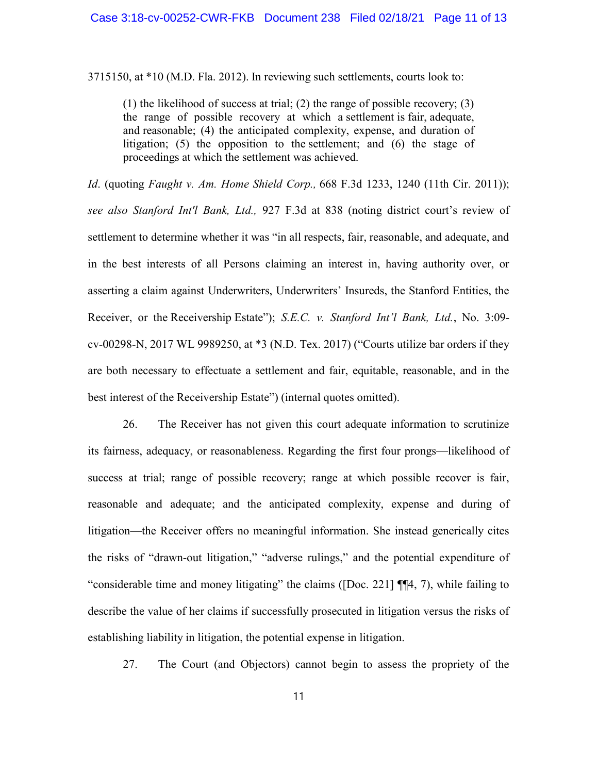3715150, at \*10 (M.D. Fla. 2012). In reviewing such settlements, courts look to:

(1) the likelihood of success at trial; (2) the range of possible recovery; (3) the range of possible recovery at which a settlement is fair, adequate, and reasonable; (4) the anticipated complexity, expense, and duration of litigation; (5) the opposition to the settlement; and (6) the stage of proceedings at which the settlement was achieved.

Id. (quoting Faught v. Am. Home Shield Corp.,  $668$  F.3d 1233, 1240 (11th Cir. 2011)); see also Stanford Int'l Bank, Ltd., 927 F.3d at 838 (noting district court's review of settlement to determine whether it was "in all respects, fair, reasonable, and adequate, and in the best interests of all Persons claiming an interest in, having authority over, or asserting a claim against Underwriters, Underwriters' Insureds, the Stanford Entities, the Receiver, or the Receivership Estate"); S.E.C. v. Stanford Int'l Bank, Ltd., No. 3:09cv-00298-N, 2017 WL 9989250, at \*3 (N.D. Tex. 2017) ("Courts utilize bar orders if they are both necessary to effectuate a settlement and fair, equitable, reasonable, and in the best interest of the Receivership Estate") (internal quotes omitted).

26. The Receiver has not given this court adequate information to scrutinize its fairness, adequacy, or reasonableness. Regarding the first four prongs—likelihood of success at trial; range of possible recovery; range at which possible recover is fair, reasonable and adequate; and the anticipated complexity, expense and during of litigation—the Receiver offers no meaningful information. She instead generically cites the risks of "drawn-out litigation," "adverse rulings," and the potential expenditure of "considerable time and money litigating" the claims ([Doc. 221] ¶¶4, 7), while failing to describe the value of her claims if successfully prosecuted in litigation versus the risks of establishing liability in litigation, the potential expense in litigation.

27. The Court (and Objectors) cannot begin to assess the propriety of the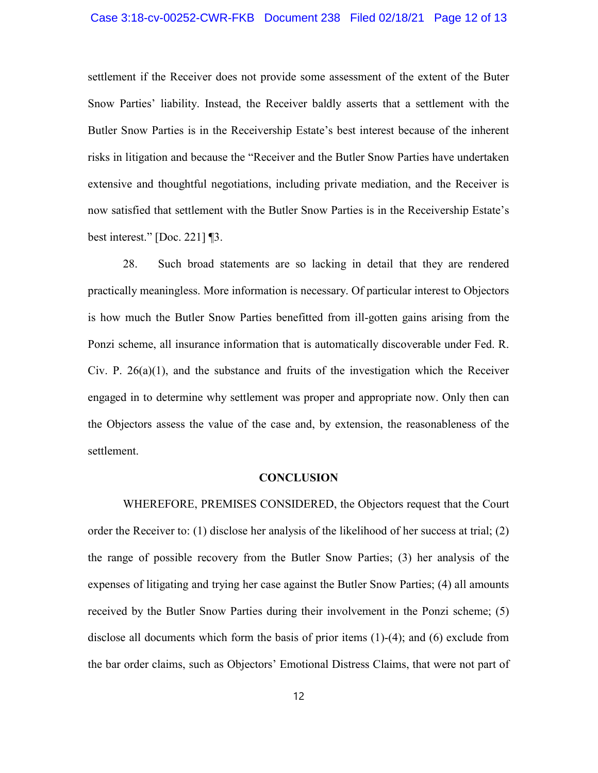## Case 3:18-cv-00252-CWR-FKB Document 238 Filed 02/18/21 Page 12 of 13

settlement if the Receiver does not provide some assessment of the extent of the Buter Snow Parties' liability. Instead, the Receiver baldly asserts that a settlement with the Butler Snow Parties is in the Receivership Estate's best interest because of the inherent risks in litigation and because the "Receiver and the Butler Snow Parties have undertaken extensive and thoughtful negotiations, including private mediation, and the Receiver is now satisfied that settlement with the Butler Snow Parties is in the Receivership Estate's best interest." [Doc. 221] ¶3.

28. Such broad statements are so lacking in detail that they are rendered practically meaningless. More information is necessary. Of particular interest to Objectors is how much the Butler Snow Parties benefitted from ill-gotten gains arising from the Ponzi scheme, all insurance information that is automatically discoverable under Fed. R. Civ. P.  $26(a)(1)$ , and the substance and fruits of the investigation which the Receiver engaged in to determine why settlement was proper and appropriate now. Only then can the Objectors assess the value of the case and, by extension, the reasonableness of the settlement.

#### **CONCLUSION**

WHEREFORE, PREMISES CONSIDERED, the Objectors request that the Court order the Receiver to: (1) disclose her analysis of the likelihood of her success at trial; (2) the range of possible recovery from the Butler Snow Parties; (3) her analysis of the expenses of litigating and trying her case against the Butler Snow Parties; (4) all amounts received by the Butler Snow Parties during their involvement in the Ponzi scheme; (5) disclose all documents which form the basis of prior items (1)-(4); and (6) exclude from the bar order claims, such as Objectors' Emotional Distress Claims, that were not part of